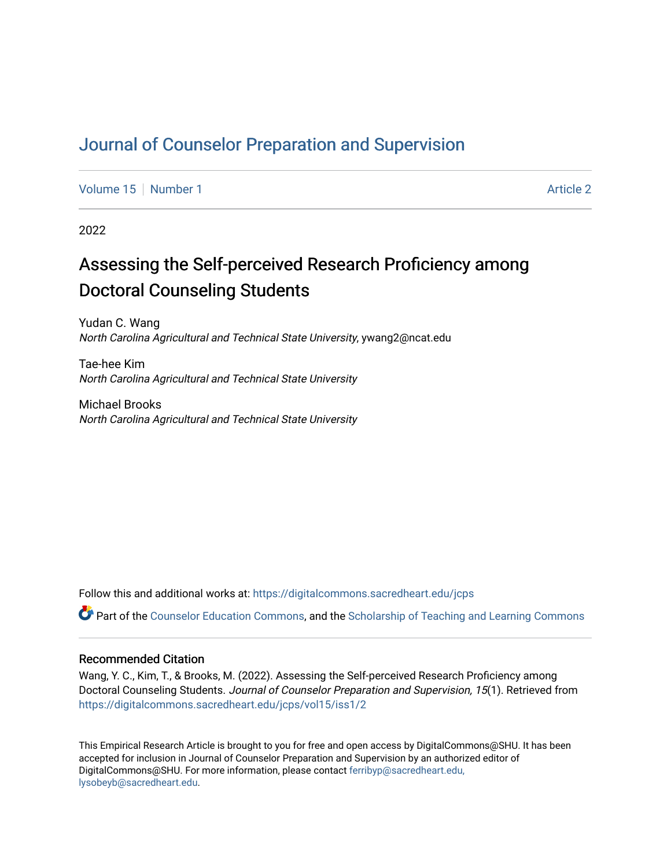# [Journal of Counselor Preparation and Supervision](https://digitalcommons.sacredheart.edu/jcps)

[Volume 15](https://digitalcommons.sacredheart.edu/jcps/vol15) [Number 1](https://digitalcommons.sacredheart.edu/jcps/vol15/iss1) Article 2

2022

# Assessing the Self-perceived Research Proficiency among Doctoral Counseling Students

Yudan C. Wang North Carolina Agricultural and Technical State University, ywang2@ncat.edu

Tae-hee Kim North Carolina Agricultural and Technical State University

Michael Brooks North Carolina Agricultural and Technical State University

Follow this and additional works at: [https://digitalcommons.sacredheart.edu/jcps](https://digitalcommons.sacredheart.edu/jcps?utm_source=digitalcommons.sacredheart.edu%2Fjcps%2Fvol15%2Fiss1%2F2&utm_medium=PDF&utm_campaign=PDFCoverPages) 

Part of the [Counselor Education Commons,](http://network.bepress.com/hgg/discipline/1278?utm_source=digitalcommons.sacredheart.edu%2Fjcps%2Fvol15%2Fiss1%2F2&utm_medium=PDF&utm_campaign=PDFCoverPages) and the Scholarship of Teaching and Learning Commons

# Recommended Citation

Wang, Y. C., Kim, T., & Brooks, M. (2022). Assessing the Self-perceived Research Proficiency among Doctoral Counseling Students. Journal of Counselor Preparation and Supervision, 15(1). Retrieved from [https://digitalcommons.sacredheart.edu/jcps/vol15/iss1/2](https://digitalcommons.sacredheart.edu/jcps/vol15/iss1/2?utm_source=digitalcommons.sacredheart.edu%2Fjcps%2Fvol15%2Fiss1%2F2&utm_medium=PDF&utm_campaign=PDFCoverPages)

This Empirical Research Article is brought to you for free and open access by DigitalCommons@SHU. It has been accepted for inclusion in Journal of Counselor Preparation and Supervision by an authorized editor of DigitalCommons@SHU. For more information, please contact [ferribyp@sacredheart.edu,](mailto:ferribyp@sacredheart.edu,%20lysobeyb@sacredheart.edu) [lysobeyb@sacredheart.edu](mailto:ferribyp@sacredheart.edu,%20lysobeyb@sacredheart.edu).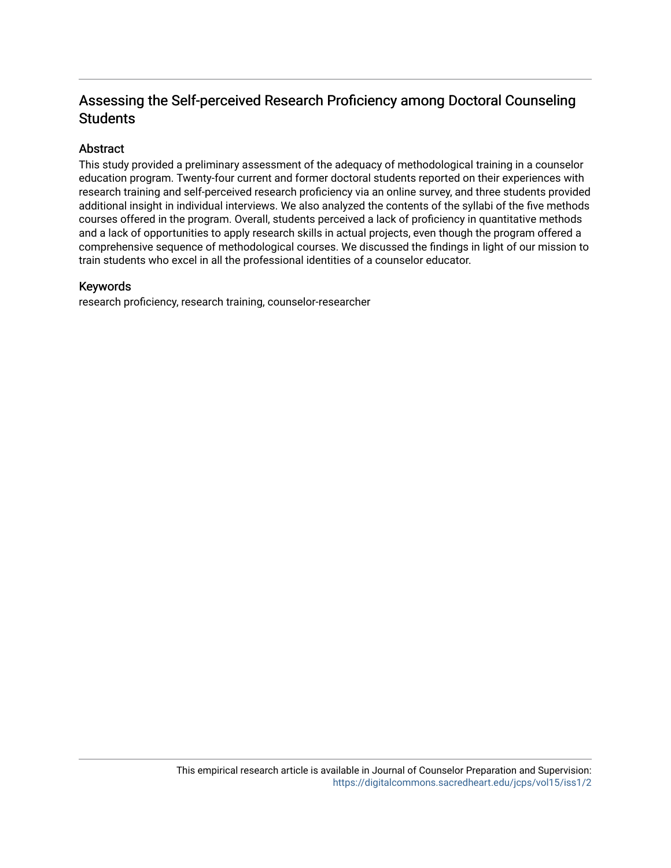# Assessing the Self-perceived Research Proficiency among Doctoral Counseling **Students**

# Abstract

This study provided a preliminary assessment of the adequacy of methodological training in a counselor education program. Twenty-four current and former doctoral students reported on their experiences with research training and self-perceived research proficiency via an online survey, and three students provided additional insight in individual interviews. We also analyzed the contents of the syllabi of the five methods courses offered in the program. Overall, students perceived a lack of proficiency in quantitative methods and a lack of opportunities to apply research skills in actual projects, even though the program offered a comprehensive sequence of methodological courses. We discussed the findings in light of our mission to train students who excel in all the professional identities of a counselor educator.

# Keywords

research proficiency, research training, counselor-researcher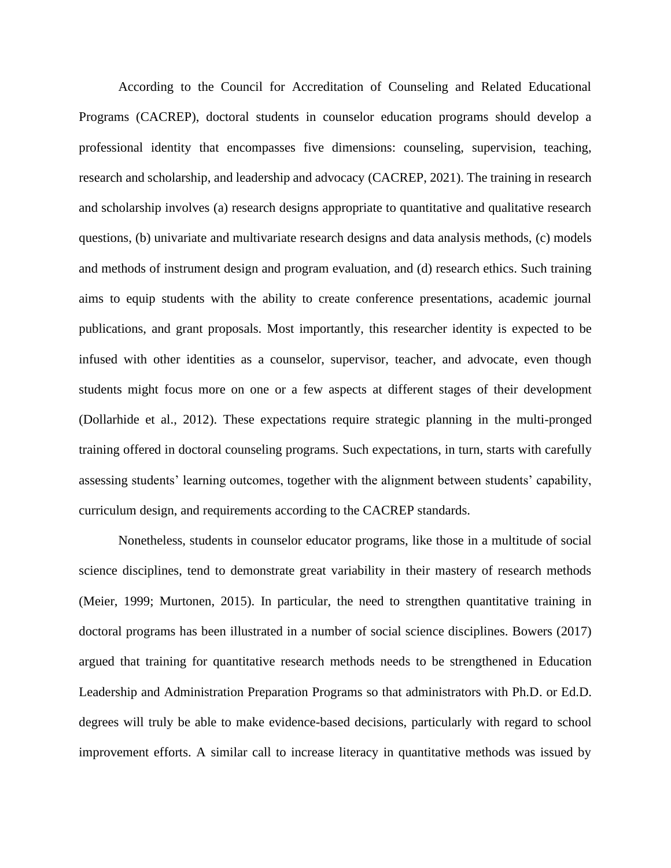According to the Council for Accreditation of Counseling and Related Educational Programs (CACREP), doctoral students in counselor education programs should develop a professional identity that encompasses five dimensions: counseling, supervision, teaching, research and scholarship, and leadership and advocacy (CACREP, 2021). The training in research and scholarship involves (a) research designs appropriate to quantitative and qualitative research questions, (b) univariate and multivariate research designs and data analysis methods, (c) models and methods of instrument design and program evaluation, and (d) research ethics. Such training aims to equip students with the ability to create conference presentations, academic journal publications, and grant proposals. Most importantly, this researcher identity is expected to be infused with other identities as a counselor, supervisor, teacher, and advocate, even though students might focus more on one or a few aspects at different stages of their development (Dollarhide et al., 2012). These expectations require strategic planning in the multi-pronged training offered in doctoral counseling programs. Such expectations, in turn, starts with carefully assessing students' learning outcomes, together with the alignment between students' capability, curriculum design, and requirements according to the CACREP standards.

Nonetheless, students in counselor educator programs, like those in a multitude of social science disciplines, tend to demonstrate great variability in their mastery of research methods (Meier, 1999; Murtonen, 2015). In particular, the need to strengthen quantitative training in doctoral programs has been illustrated in a number of social science disciplines. Bowers (2017) argued that training for quantitative research methods needs to be strengthened in Education Leadership and Administration Preparation Programs so that administrators with Ph.D. or Ed.D. degrees will truly be able to make evidence-based decisions, particularly with regard to school improvement efforts. A similar call to increase literacy in quantitative methods was issued by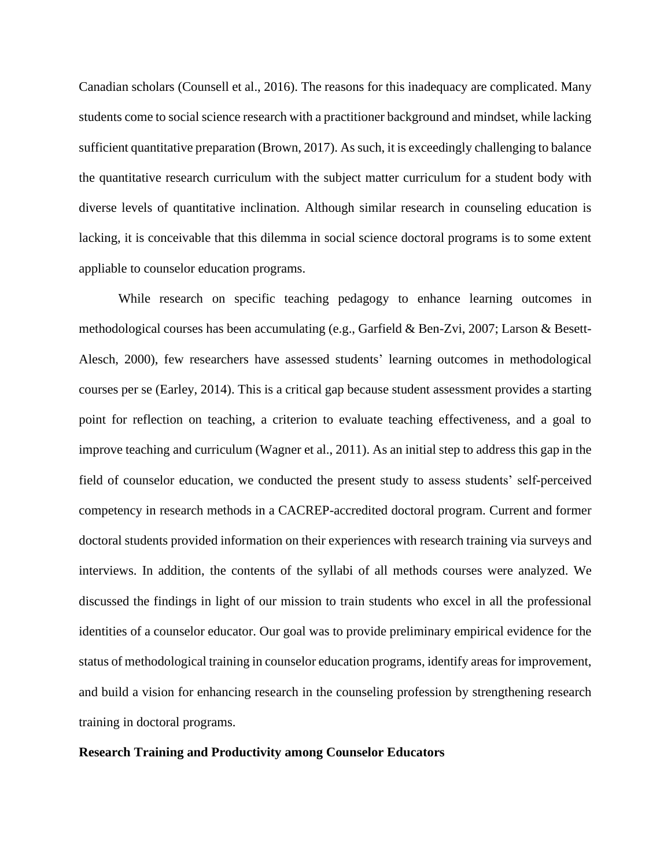Canadian scholars (Counsell et al., 2016). The reasons for this inadequacy are complicated. Many students come to social science research with a practitioner background and mindset, while lacking sufficient quantitative preparation (Brown, 2017). As such, it is exceedingly challenging to balance the quantitative research curriculum with the subject matter curriculum for a student body with diverse levels of quantitative inclination. Although similar research in counseling education is lacking, it is conceivable that this dilemma in social science doctoral programs is to some extent appliable to counselor education programs.

While research on specific teaching pedagogy to enhance learning outcomes in methodological courses has been accumulating (e.g., Garfield & Ben-Zvi, 2007; Larson & Besett-Alesch, 2000), few researchers have assessed students' learning outcomes in methodological courses per se (Earley, 2014). This is a critical gap because student assessment provides a starting point for reflection on teaching, a criterion to evaluate teaching effectiveness, and a goal to improve teaching and curriculum (Wagner et al., 2011). As an initial step to address this gap in the field of counselor education, we conducted the present study to assess students' self-perceived competency in research methods in a CACREP-accredited doctoral program. Current and former doctoral students provided information on their experiences with research training via surveys and interviews. In addition, the contents of the syllabi of all methods courses were analyzed. We discussed the findings in light of our mission to train students who excel in all the professional identities of a counselor educator. Our goal was to provide preliminary empirical evidence for the status of methodological training in counselor education programs, identify areas for improvement, and build a vision for enhancing research in the counseling profession by strengthening research training in doctoral programs.

# **Research Training and Productivity among Counselor Educators**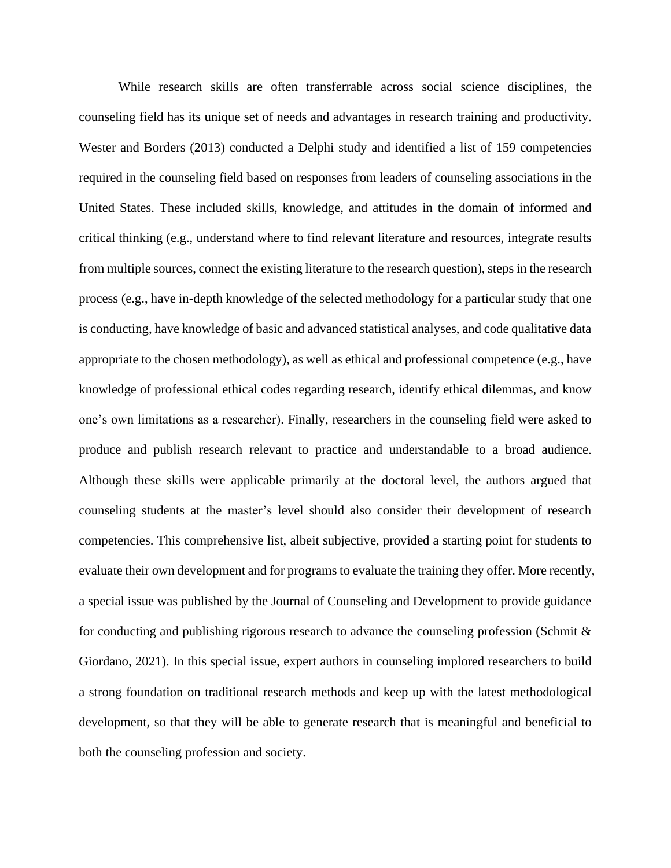While research skills are often transferrable across social science disciplines, the counseling field has its unique set of needs and advantages in research training and productivity. Wester and Borders (2013) conducted a Delphi study and identified a list of 159 competencies required in the counseling field based on responses from leaders of counseling associations in the United States. These included skills, knowledge, and attitudes in the domain of informed and critical thinking (e.g., understand where to find relevant literature and resources, integrate results from multiple sources, connect the existing literature to the research question), steps in the research process (e.g., have in-depth knowledge of the selected methodology for a particular study that one is conducting, have knowledge of basic and advanced statistical analyses, and code qualitative data appropriate to the chosen methodology), as well as ethical and professional competence (e.g., have knowledge of professional ethical codes regarding research, identify ethical dilemmas, and know one's own limitations as a researcher). Finally, researchers in the counseling field were asked to produce and publish research relevant to practice and understandable to a broad audience. Although these skills were applicable primarily at the doctoral level, the authors argued that counseling students at the master's level should also consider their development of research competencies. This comprehensive list, albeit subjective, provided a starting point for students to evaluate their own development and for programs to evaluate the training they offer. More recently, a special issue was published by the Journal of Counseling and Development to provide guidance for conducting and publishing rigorous research to advance the counseling profession (Schmit & Giordano, 2021). In this special issue, expert authors in counseling implored researchers to build a strong foundation on traditional research methods and keep up with the latest methodological development, so that they will be able to generate research that is meaningful and beneficial to both the counseling profession and society.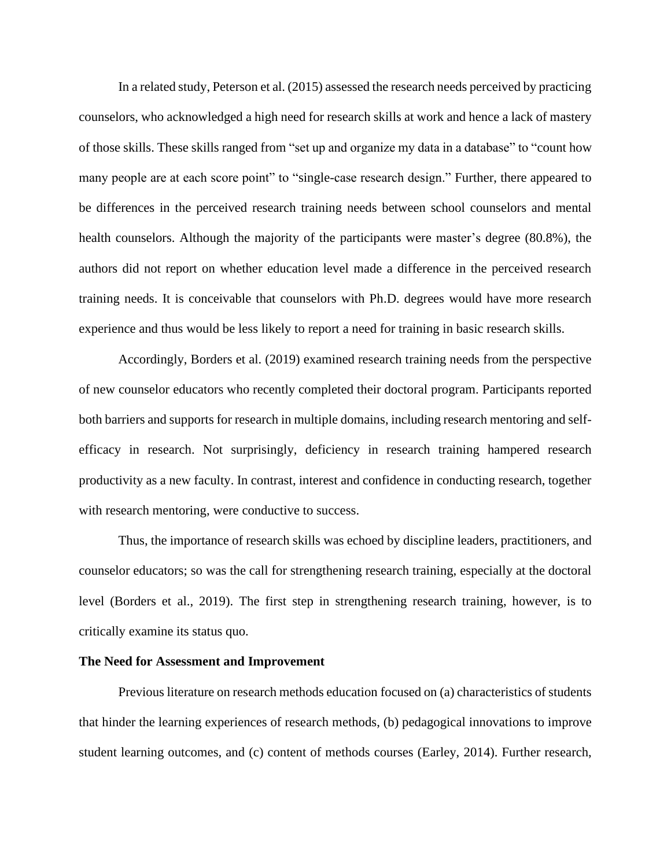In a related study, Peterson et al. (2015) assessed the research needs perceived by practicing counselors, who acknowledged a high need for research skills at work and hence a lack of mastery of those skills. These skills ranged from "set up and organize my data in a database" to "count how many people are at each score point" to "single-case research design." Further, there appeared to be differences in the perceived research training needs between school counselors and mental health counselors. Although the majority of the participants were master's degree (80.8%), the authors did not report on whether education level made a difference in the perceived research training needs. It is conceivable that counselors with Ph.D. degrees would have more research experience and thus would be less likely to report a need for training in basic research skills.

Accordingly, Borders et al. (2019) examined research training needs from the perspective of new counselor educators who recently completed their doctoral program. Participants reported both barriers and supports for research in multiple domains, including research mentoring and selfefficacy in research. Not surprisingly, deficiency in research training hampered research productivity as a new faculty. In contrast, interest and confidence in conducting research, together with research mentoring, were conductive to success.

Thus, the importance of research skills was echoed by discipline leaders, practitioners, and counselor educators; so was the call for strengthening research training, especially at the doctoral level (Borders et al., 2019). The first step in strengthening research training, however, is to critically examine its status quo.

#### **The Need for Assessment and Improvement**

Previous literature on research methods education focused on (a) characteristics of students that hinder the learning experiences of research methods, (b) pedagogical innovations to improve student learning outcomes, and (c) content of methods courses (Earley, 2014). Further research,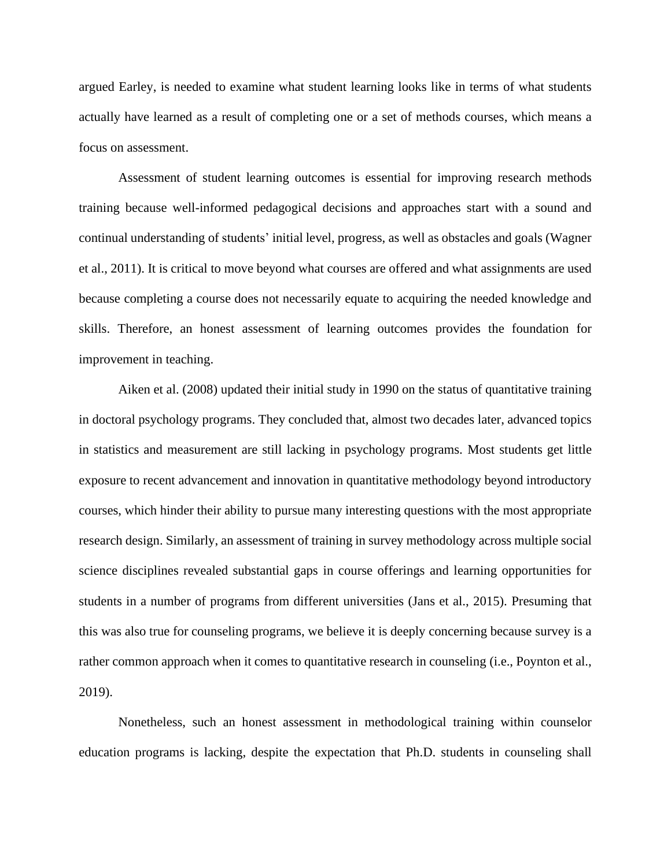argued Earley, is needed to examine what student learning looks like in terms of what students actually have learned as a result of completing one or a set of methods courses, which means a focus on assessment.

Assessment of student learning outcomes is essential for improving research methods training because well-informed pedagogical decisions and approaches start with a sound and continual understanding of students' initial level, progress, as well as obstacles and goals (Wagner et al., 2011). It is critical to move beyond what courses are offered and what assignments are used because completing a course does not necessarily equate to acquiring the needed knowledge and skills. Therefore, an honest assessment of learning outcomes provides the foundation for improvement in teaching.

Aiken et al. (2008) updated their initial study in 1990 on the status of quantitative training in doctoral psychology programs. They concluded that, almost two decades later, advanced topics in statistics and measurement are still lacking in psychology programs. Most students get little exposure to recent advancement and innovation in quantitative methodology beyond introductory courses, which hinder their ability to pursue many interesting questions with the most appropriate research design. Similarly, an assessment of training in survey methodology across multiple social science disciplines revealed substantial gaps in course offerings and learning opportunities for students in a number of programs from different universities (Jans et al., 2015). Presuming that this was also true for counseling programs, we believe it is deeply concerning because survey is a rather common approach when it comes to quantitative research in counseling (i.e., Poynton et al., 2019).

Nonetheless, such an honest assessment in methodological training within counselor education programs is lacking, despite the expectation that Ph.D. students in counseling shall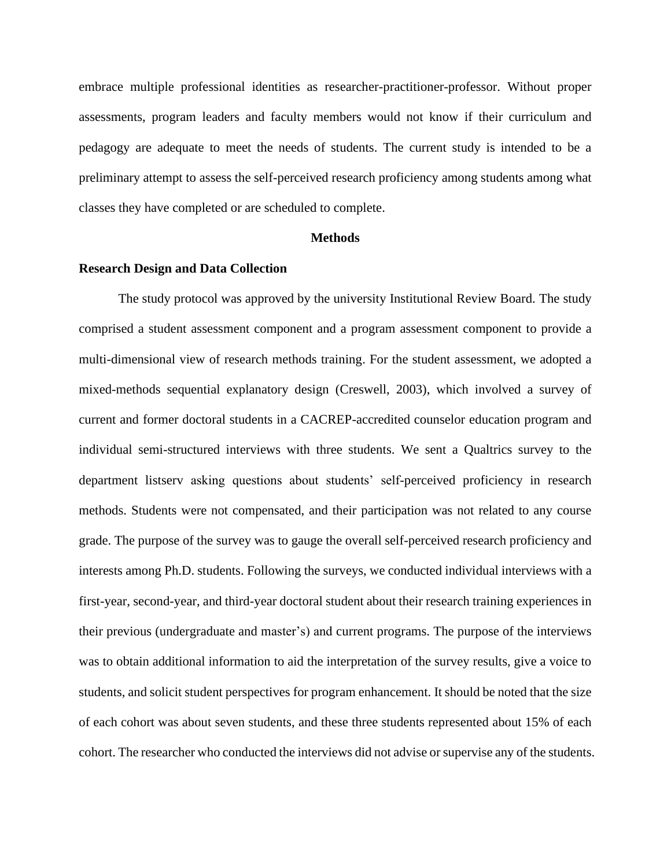embrace multiple professional identities as researcher-practitioner-professor. Without proper assessments, program leaders and faculty members would not know if their curriculum and pedagogy are adequate to meet the needs of students. The current study is intended to be a preliminary attempt to assess the self-perceived research proficiency among students among what classes they have completed or are scheduled to complete.

#### **Methods**

# **Research Design and Data Collection**

The study protocol was approved by the university Institutional Review Board. The study comprised a student assessment component and a program assessment component to provide a multi-dimensional view of research methods training. For the student assessment, we adopted a mixed-methods sequential explanatory design (Creswell, 2003), which involved a survey of current and former doctoral students in a CACREP-accredited counselor education program and individual semi-structured interviews with three students. We sent a Qualtrics survey to the department listserv asking questions about students' self-perceived proficiency in research methods. Students were not compensated, and their participation was not related to any course grade. The purpose of the survey was to gauge the overall self-perceived research proficiency and interests among Ph.D. students. Following the surveys, we conducted individual interviews with a first-year, second-year, and third-year doctoral student about their research training experiences in their previous (undergraduate and master's) and current programs. The purpose of the interviews was to obtain additional information to aid the interpretation of the survey results, give a voice to students, and solicit student perspectives for program enhancement. It should be noted that the size of each cohort was about seven students, and these three students represented about 15% of each cohort. The researcher who conducted the interviews did not advise or supervise any of the students.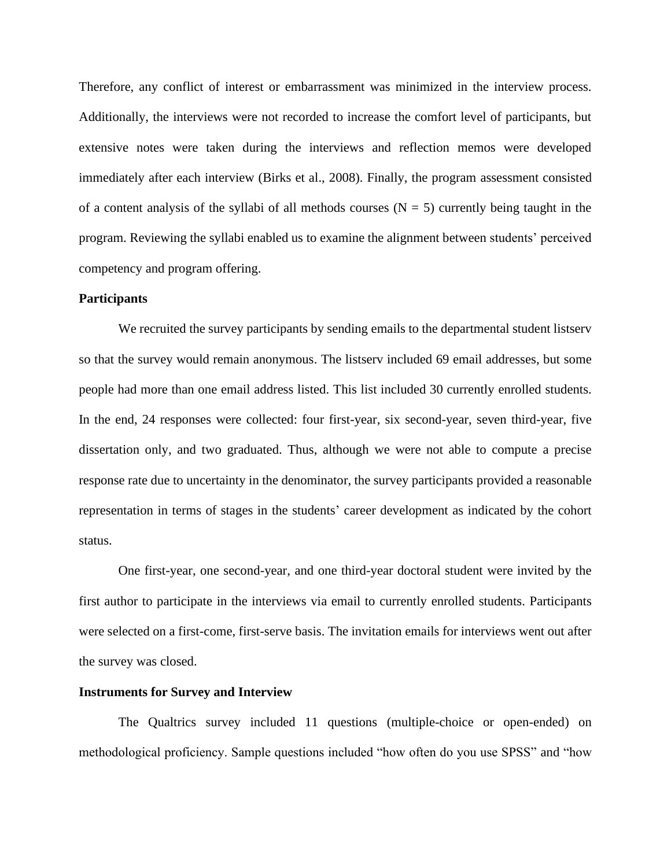Therefore, any conflict of interest or embarrassment was minimized in the interview process. Additionally, the interviews were not recorded to increase the comfort level of participants, but extensive notes were taken during the interviews and reflection memos were developed immediately after each interview (Birks et al., 2008). Finally, the program assessment consisted of a content analysis of the syllabi of all methods courses  $(N = 5)$  currently being taught in the program. Reviewing the syllabi enabled us to examine the alignment between students' perceived competency and program offering.

#### **Participants**

We recruited the survey participants by sending emails to the departmental student listserv so that the survey would remain anonymous. The listserv included 69 email addresses, but some people had more than one email address listed. This list included 30 currently enrolled students. In the end, 24 responses were collected: four first-year, six second-year, seven third-year, five dissertation only, and two graduated. Thus, although we were not able to compute a precise response rate due to uncertainty in the denominator, the survey participants provided a reasonable representation in terms of stages in the students' career development as indicated by the cohort status.

One first-year, one second-year, and one third-year doctoral student were invited by the first author to participate in the interviews via email to currently enrolled students. Participants were selected on a first-come, first-serve basis. The invitation emails for interviews went out after the survey was closed.

#### **Instruments for Survey and Interview**

The Qualtrics survey included 11 questions (multiple-choice or open-ended) on methodological proficiency. Sample questions included "how often do you use SPSS" and "how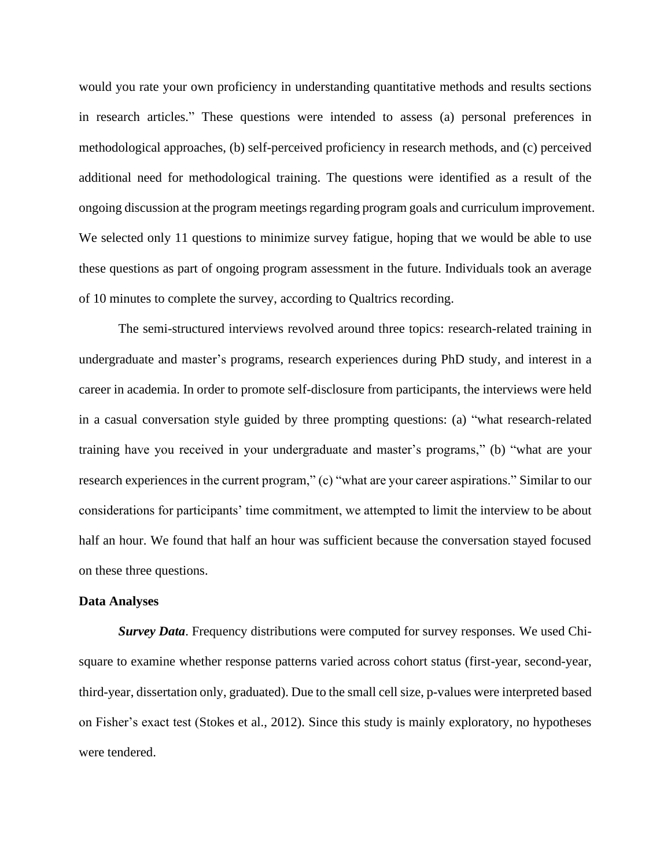would you rate your own proficiency in understanding quantitative methods and results sections in research articles." These questions were intended to assess (a) personal preferences in methodological approaches, (b) self-perceived proficiency in research methods, and (c) perceived additional need for methodological training. The questions were identified as a result of the ongoing discussion at the program meetings regarding program goals and curriculum improvement. We selected only 11 questions to minimize survey fatigue, hoping that we would be able to use these questions as part of ongoing program assessment in the future. Individuals took an average of 10 minutes to complete the survey, according to Qualtrics recording.

The semi-structured interviews revolved around three topics: research-related training in undergraduate and master's programs, research experiences during PhD study, and interest in a career in academia. In order to promote self-disclosure from participants, the interviews were held in a casual conversation style guided by three prompting questions: (a) "what research-related training have you received in your undergraduate and master's programs," (b) "what are your research experiences in the current program," (c) "what are your career aspirations." Similar to our considerations for participants' time commitment, we attempted to limit the interview to be about half an hour. We found that half an hour was sufficient because the conversation stayed focused on these three questions.

#### **Data Analyses**

*Survey Data*. Frequency distributions were computed for survey responses. We used Chisquare to examine whether response patterns varied across cohort status (first-year, second-year, third-year, dissertation only, graduated). Due to the small cell size, p-values were interpreted based on Fisher's exact test (Stokes et al., 2012). Since this study is mainly exploratory, no hypotheses were tendered.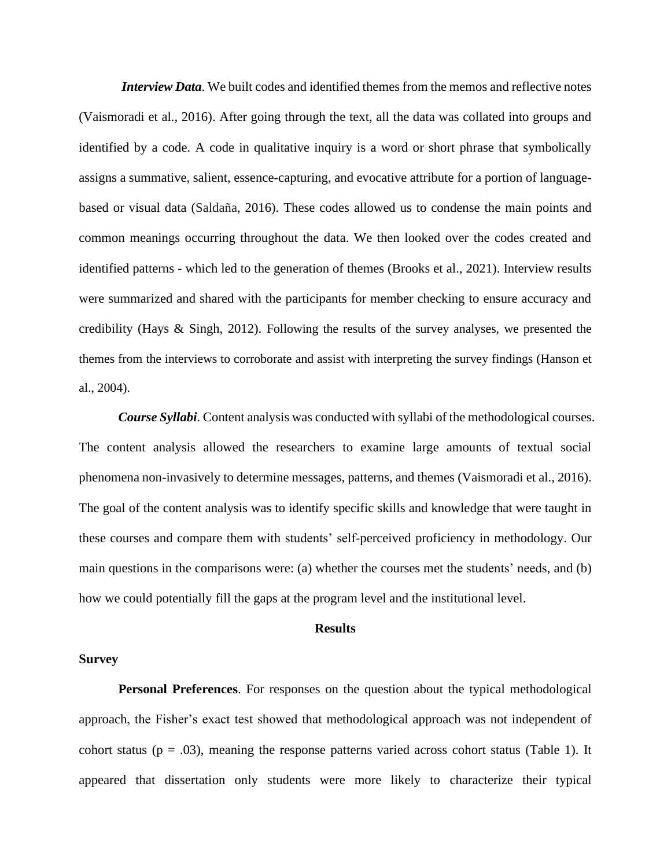*Interview Data*. We built codes and identified themes from the memos and reflective notes (Vaismoradi et al., 2016). After going through the text, all the data was collated into groups and identified by a code. A code in qualitative inquiry is a word or short phrase that symbolically assigns a summative, salient, essence-capturing, and evocative attribute for a portion of languagebased or visual data (Saldaña, 2016). These codes allowed us to condense the main points and common meanings occurring throughout the data. We then looked over the codes created and identified patterns - which led to the generation of themes (Brooks et al., 2021). Interview results were summarized and shared with the participants for member checking to ensure accuracy and credibility (Hays & Singh, 2012). Following the results of the survey analyses, we presented the themes from the interviews to corroborate and assist with interpreting the survey findings (Hanson et al., 2004).

*Course Syllabi*. Content analysis was conducted with syllabi of the methodological courses. The content analysis allowed the researchers to examine large amounts of textual social phenomena non-invasively to determine messages, patterns, and themes (Vaismoradi et al., 2016). The goal of the content analysis was to identify specific skills and knowledge that were taught in these courses and compare them with students' self-perceived proficiency in methodology. Our main questions in the comparisons were: (a) whether the courses met the students' needs, and (b) how we could potentially fill the gaps at the program level and the institutional level.

#### **Results**

#### **Survey**

**Personal Preferences**. For responses on the question about the typical methodological approach, the Fisher's exact test showed that methodological approach was not independent of cohort status ( $p = .03$ ), meaning the response patterns varied across cohort status (Table 1). It appeared that dissertation only students were more likely to characterize their typical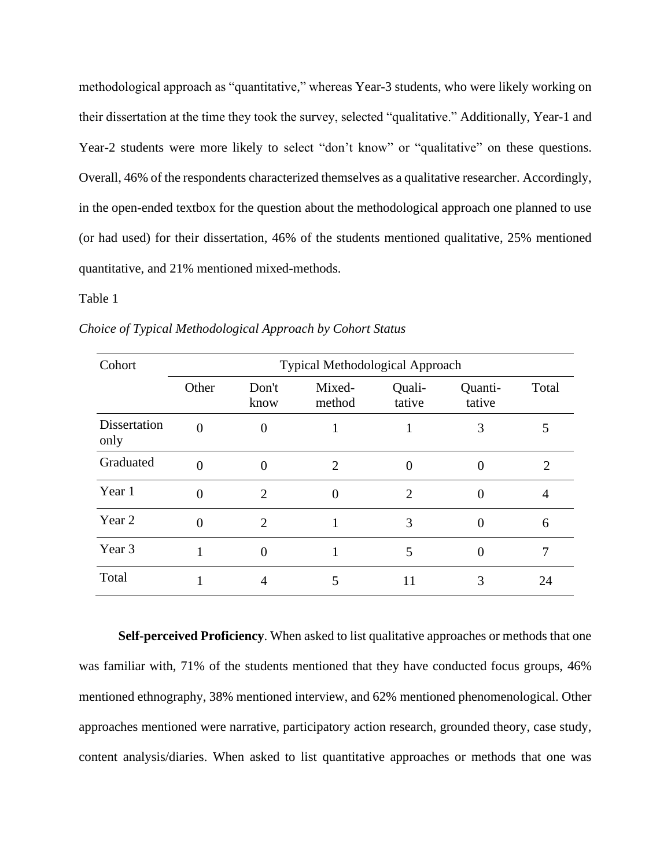methodological approach as "quantitative," whereas Year-3 students, who were likely working on their dissertation at the time they took the survey, selected "qualitative." Additionally, Year-1 and Year-2 students were more likely to select "don't know" or "qualitative" on these questions. Overall, 46% of the respondents characterized themselves as a qualitative researcher. Accordingly, in the open-ended textbox for the question about the methodological approach one planned to use (or had used) for their dissertation, 46% of the students mentioned qualitative, 25% mentioned quantitative, and 21% mentioned mixed-methods.

#### Table 1

|  |  |  | Choice of Typical Methodological Approach by Cohort Status |
|--|--|--|------------------------------------------------------------|
|  |  |  |                                                            |

| Cohort               | Typical Methodological Approach |                |                  |                  |                   |       |  |
|----------------------|---------------------------------|----------------|------------------|------------------|-------------------|-------|--|
|                      | Other                           | Don't<br>know  | Mixed-<br>method | Quali-<br>tative | Quanti-<br>tative | Total |  |
| Dissertation<br>only | $\theta$                        | $\theta$       |                  |                  | 3                 | 5     |  |
| Graduated            | $\Omega$                        | $\Omega$       | 2                | $\Omega$         | 0                 | 2     |  |
| Year 1               |                                 | $\overline{2}$ | $\theta$         | 2                |                   | 4     |  |
| Year 2               | 0                               | $\overline{2}$ |                  | 3                | 0                 | 6     |  |
| Year 3               |                                 | $\mathbf{0}$   |                  | 5                |                   | 7     |  |
| Total                |                                 | 4              | 5                | 11               | 3                 | 24    |  |

**Self-perceived Proficiency**. When asked to list qualitative approaches or methods that one was familiar with, 71% of the students mentioned that they have conducted focus groups, 46% mentioned ethnography, 38% mentioned interview, and 62% mentioned phenomenological. Other approaches mentioned were narrative, participatory action research, grounded theory, case study, content analysis/diaries. When asked to list quantitative approaches or methods that one was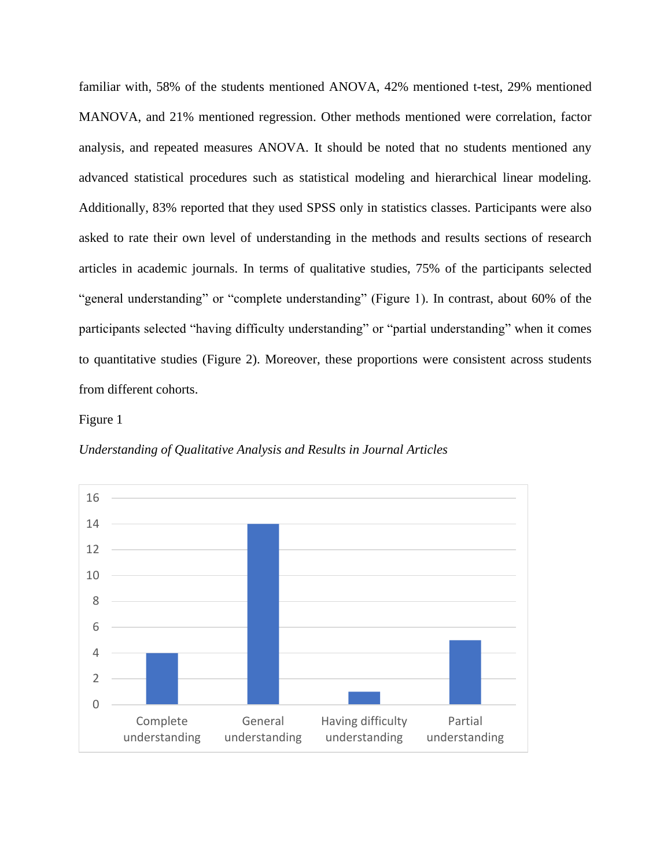familiar with, 58% of the students mentioned ANOVA, 42% mentioned t-test, 29% mentioned MANOVA, and 21% mentioned regression. Other methods mentioned were correlation, factor analysis, and repeated measures ANOVA. It should be noted that no students mentioned any advanced statistical procedures such as statistical modeling and hierarchical linear modeling. Additionally, 83% reported that they used SPSS only in statistics classes. Participants were also asked to rate their own level of understanding in the methods and results sections of research articles in academic journals. In terms of qualitative studies, 75% of the participants selected "general understanding" or "complete understanding" (Figure 1). In contrast, about 60% of the participants selected "having difficulty understanding" or "partial understanding" when it comes to quantitative studies (Figure 2). Moreover, these proportions were consistent across students from different cohorts.

## Figure 1



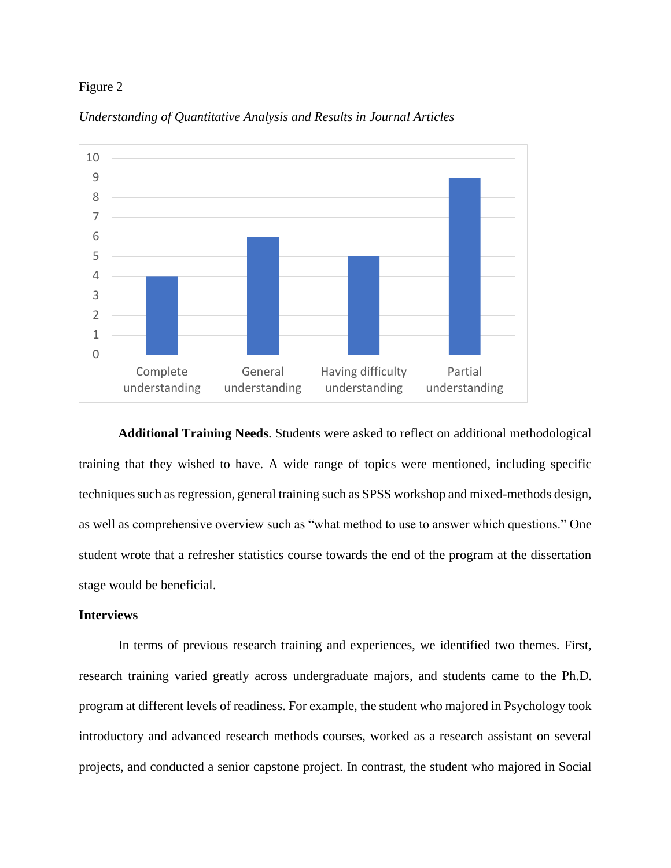#### Figure 2



*Understanding of Quantitative Analysis and Results in Journal Articles*

**Additional Training Needs**. Students were asked to reflect on additional methodological training that they wished to have. A wide range of topics were mentioned, including specific techniques such as regression, general training such as SPSS workshop and mixed-methods design, as well as comprehensive overview such as "what method to use to answer which questions." One student wrote that a refresher statistics course towards the end of the program at the dissertation stage would be beneficial.

# **Interviews**

In terms of previous research training and experiences, we identified two themes. First, research training varied greatly across undergraduate majors, and students came to the Ph.D. program at different levels of readiness. For example, the student who majored in Psychology took introductory and advanced research methods courses, worked as a research assistant on several projects, and conducted a senior capstone project. In contrast, the student who majored in Social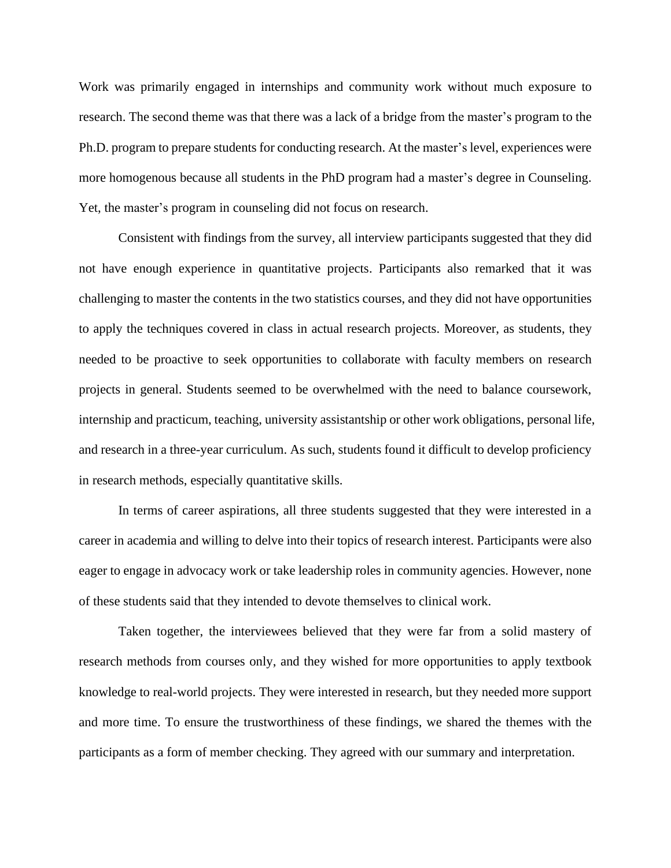Work was primarily engaged in internships and community work without much exposure to research. The second theme was that there was a lack of a bridge from the master's program to the Ph.D. program to prepare students for conducting research. At the master's level, experiences were more homogenous because all students in the PhD program had a master's degree in Counseling. Yet, the master's program in counseling did not focus on research.

Consistent with findings from the survey, all interview participants suggested that they did not have enough experience in quantitative projects. Participants also remarked that it was challenging to master the contents in the two statistics courses, and they did not have opportunities to apply the techniques covered in class in actual research projects. Moreover, as students, they needed to be proactive to seek opportunities to collaborate with faculty members on research projects in general. Students seemed to be overwhelmed with the need to balance coursework, internship and practicum, teaching, university assistantship or other work obligations, personal life, and research in a three-year curriculum. As such, students found it difficult to develop proficiency in research methods, especially quantitative skills.

In terms of career aspirations, all three students suggested that they were interested in a career in academia and willing to delve into their topics of research interest. Participants were also eager to engage in advocacy work or take leadership roles in community agencies. However, none of these students said that they intended to devote themselves to clinical work.

Taken together, the interviewees believed that they were far from a solid mastery of research methods from courses only, and they wished for more opportunities to apply textbook knowledge to real-world projects. They were interested in research, but they needed more support and more time. To ensure the trustworthiness of these findings, we shared the themes with the participants as a form of member checking. They agreed with our summary and interpretation.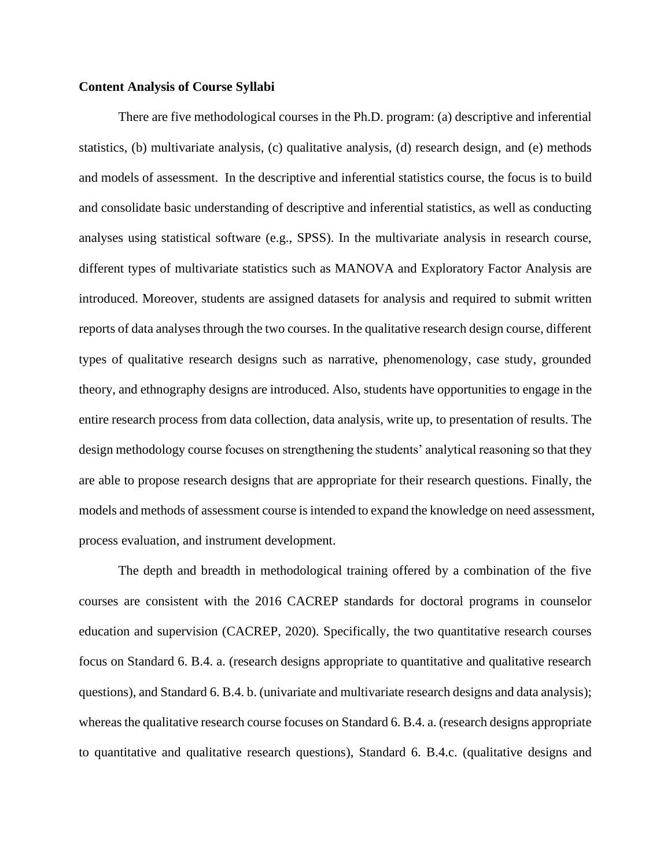# **Content Analysis of Course Syllabi**

There are five methodological courses in the Ph.D. program: (a) descriptive and inferential statistics, (b) multivariate analysis, (c) qualitative analysis, (d) research design, and (e) methods and models of assessment. In the descriptive and inferential statistics course, the focus is to build and consolidate basic understanding of descriptive and inferential statistics, as well as conducting analyses using statistical software (e.g., SPSS). In the multivariate analysis in research course, different types of multivariate statistics such as MANOVA and Exploratory Factor Analysis are introduced. Moreover, students are assigned datasets for analysis and required to submit written reports of data analyses through the two courses. In the qualitative research design course, different types of qualitative research designs such as narrative, phenomenology, case study, grounded theory, and ethnography designs are introduced. Also, students have opportunities to engage in the entire research process from data collection, data analysis, write up, to presentation of results. The design methodology course focuses on strengthening the students' analytical reasoning so that they are able to propose research designs that are appropriate for their research questions. Finally, the models and methods of assessment course is intended to expand the knowledge on need assessment, process evaluation, and instrument development.

The depth and breadth in methodological training offered by a combination of the five courses are consistent with the 2016 CACREP standards for doctoral programs in counselor education and supervision (CACREP, 2020). Specifically, the two quantitative research courses focus on Standard 6. B.4. a. (research designs appropriate to quantitative and qualitative research questions), and Standard 6. B.4. b. (univariate and multivariate research designs and data analysis); whereas the qualitative research course focuses on Standard 6. B.4. a. (research designs appropriate to quantitative and qualitative research questions), Standard 6. B.4.c. (qualitative designs and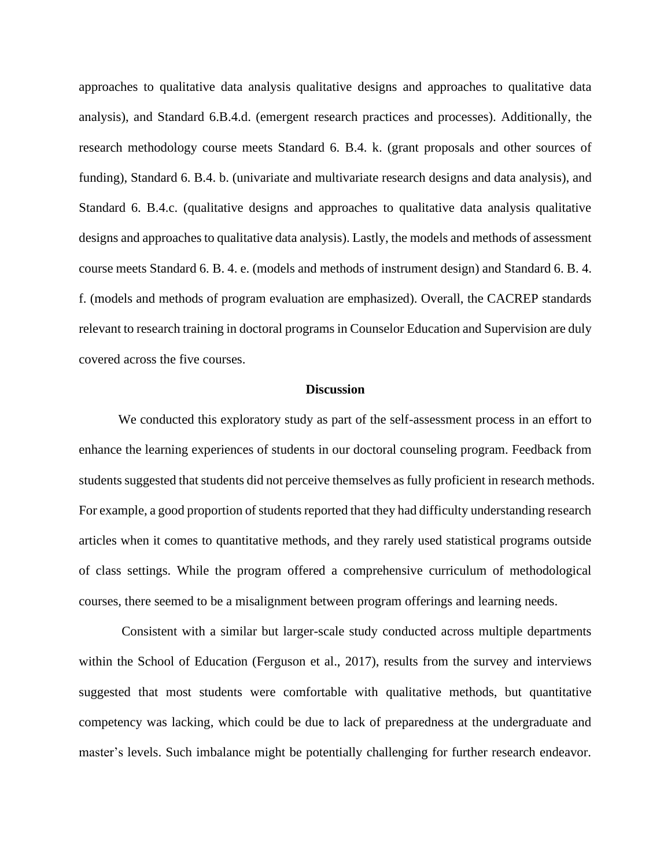approaches to qualitative data analysis qualitative designs and approaches to qualitative data analysis), and Standard 6.B.4.d. (emergent research practices and processes). Additionally, the research methodology course meets Standard 6. B.4. k. (grant proposals and other sources of funding), Standard 6. B.4. b. (univariate and multivariate research designs and data analysis), and Standard 6. B.4.c. (qualitative designs and approaches to qualitative data analysis qualitative designs and approaches to qualitative data analysis). Lastly, the models and methods of assessment course meets Standard 6. B. 4. e. (models and methods of instrument design) and Standard 6. B. 4. f. (models and methods of program evaluation are emphasized). Overall, the CACREP standards relevant to research training in doctoral programs in Counselor Education and Supervision are duly covered across the five courses.

#### **Discussion**

We conducted this exploratory study as part of the self-assessment process in an effort to enhance the learning experiences of students in our doctoral counseling program. Feedback from students suggested that students did not perceive themselves as fully proficient in research methods. For example, a good proportion of students reported that they had difficulty understanding research articles when it comes to quantitative methods, and they rarely used statistical programs outside of class settings. While the program offered a comprehensive curriculum of methodological courses, there seemed to be a misalignment between program offerings and learning needs.

Consistent with a similar but larger-scale study conducted across multiple departments within the School of Education (Ferguson et al., 2017), results from the survey and interviews suggested that most students were comfortable with qualitative methods, but quantitative competency was lacking, which could be due to lack of preparedness at the undergraduate and master's levels. Such imbalance might be potentially challenging for further research endeavor.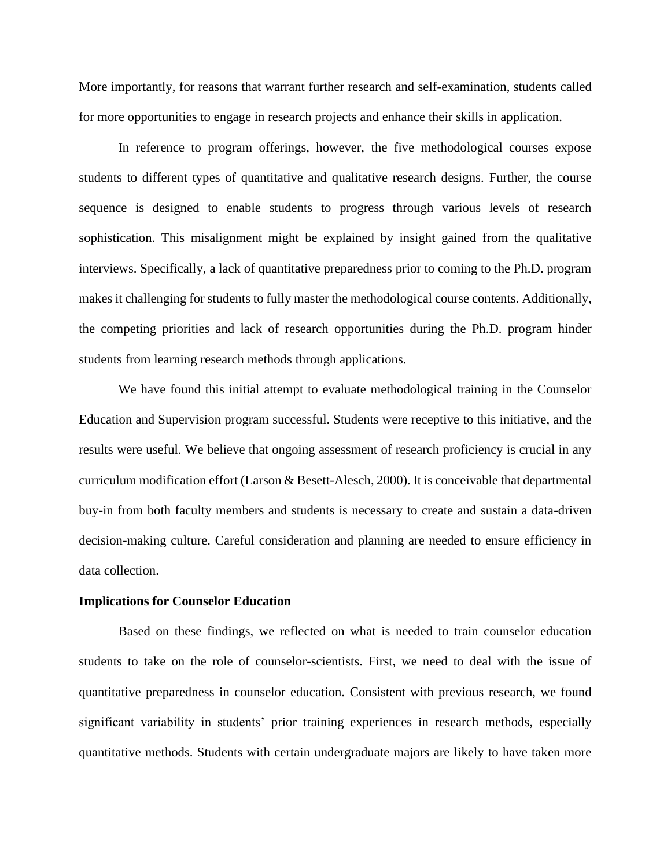More importantly, for reasons that warrant further research and self-examination, students called for more opportunities to engage in research projects and enhance their skills in application.

In reference to program offerings, however, the five methodological courses expose students to different types of quantitative and qualitative research designs. Further, the course sequence is designed to enable students to progress through various levels of research sophistication. This misalignment might be explained by insight gained from the qualitative interviews. Specifically, a lack of quantitative preparedness prior to coming to the Ph.D. program makes it challenging for students to fully master the methodological course contents. Additionally, the competing priorities and lack of research opportunities during the Ph.D. program hinder students from learning research methods through applications.

We have found this initial attempt to evaluate methodological training in the Counselor Education and Supervision program successful. Students were receptive to this initiative, and the results were useful. We believe that ongoing assessment of research proficiency is crucial in any curriculum modification effort (Larson & Besett-Alesch, 2000). It is conceivable that departmental buy-in from both faculty members and students is necessary to create and sustain a data-driven decision-making culture. Careful consideration and planning are needed to ensure efficiency in data collection.

#### **Implications for Counselor Education**

Based on these findings, we reflected on what is needed to train counselor education students to take on the role of counselor-scientists. First, we need to deal with the issue of quantitative preparedness in counselor education. Consistent with previous research, we found significant variability in students' prior training experiences in research methods, especially quantitative methods. Students with certain undergraduate majors are likely to have taken more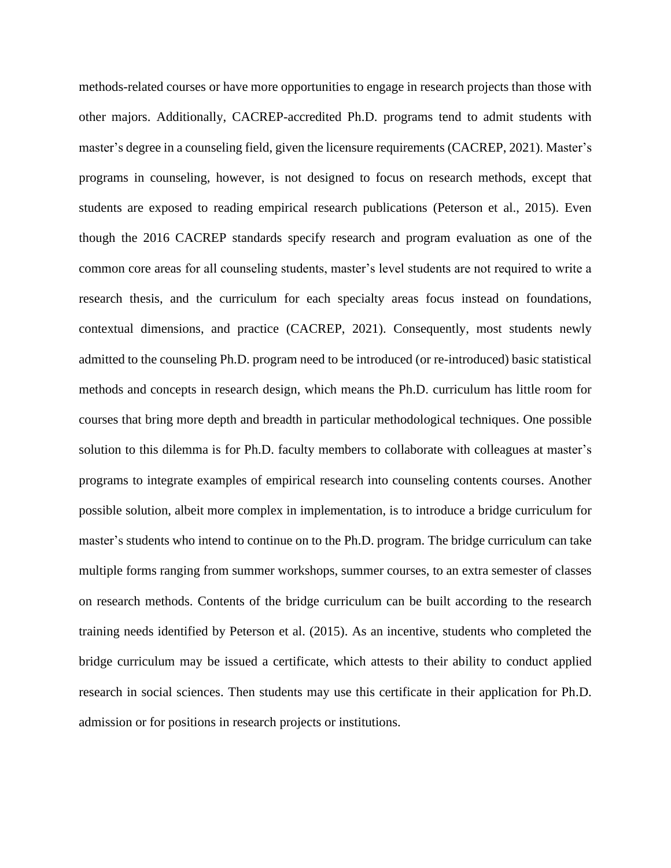methods-related courses or have more opportunities to engage in research projects than those with other majors. Additionally, CACREP-accredited Ph.D. programs tend to admit students with master's degree in a counseling field, given the licensure requirements (CACREP, 2021). Master's programs in counseling, however, is not designed to focus on research methods, except that students are exposed to reading empirical research publications (Peterson et al., 2015). Even though the 2016 CACREP standards specify research and program evaluation as one of the common core areas for all counseling students, master's level students are not required to write a research thesis, and the curriculum for each specialty areas focus instead on foundations, contextual dimensions, and practice (CACREP, 2021). Consequently, most students newly admitted to the counseling Ph.D. program need to be introduced (or re-introduced) basic statistical methods and concepts in research design, which means the Ph.D. curriculum has little room for courses that bring more depth and breadth in particular methodological techniques. One possible solution to this dilemma is for Ph.D. faculty members to collaborate with colleagues at master's programs to integrate examples of empirical research into counseling contents courses. Another possible solution, albeit more complex in implementation, is to introduce a bridge curriculum for master's students who intend to continue on to the Ph.D. program. The bridge curriculum can take multiple forms ranging from summer workshops, summer courses, to an extra semester of classes on research methods. Contents of the bridge curriculum can be built according to the research training needs identified by Peterson et al. (2015). As an incentive, students who completed the bridge curriculum may be issued a certificate, which attests to their ability to conduct applied research in social sciences. Then students may use this certificate in their application for Ph.D. admission or for positions in research projects or institutions.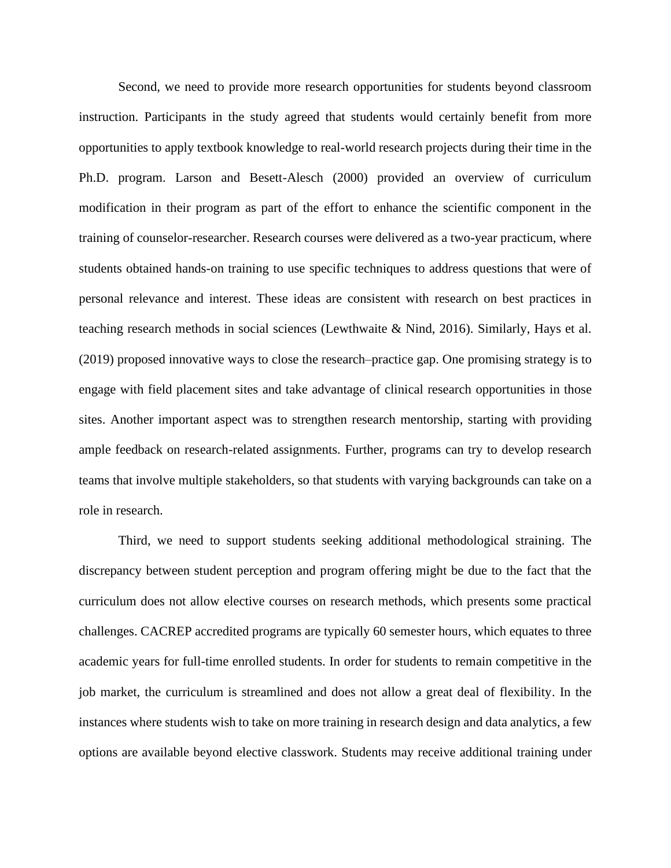Second, we need to provide more research opportunities for students beyond classroom instruction. Participants in the study agreed that students would certainly benefit from more opportunities to apply textbook knowledge to real-world research projects during their time in the Ph.D. program. Larson and Besett-Alesch (2000) provided an overview of curriculum modification in their program as part of the effort to enhance the scientific component in the training of counselor-researcher. Research courses were delivered as a two-year practicum, where students obtained hands-on training to use specific techniques to address questions that were of personal relevance and interest. These ideas are consistent with research on best practices in teaching research methods in social sciences (Lewthwaite & Nind, 2016). Similarly, Hays et al. (2019) proposed innovative ways to close the research–practice gap. One promising strategy is to engage with field placement sites and take advantage of clinical research opportunities in those sites. Another important aspect was to strengthen research mentorship, starting with providing ample feedback on research-related assignments. Further, programs can try to develop research teams that involve multiple stakeholders, so that students with varying backgrounds can take on a role in research.

Third, we need to support students seeking additional methodological straining. The discrepancy between student perception and program offering might be due to the fact that the curriculum does not allow elective courses on research methods, which presents some practical challenges. CACREP accredited programs are typically 60 semester hours, which equates to three academic years for full-time enrolled students. In order for students to remain competitive in the job market, the curriculum is streamlined and does not allow a great deal of flexibility. In the instances where students wish to take on more training in research design and data analytics, a few options are available beyond elective classwork. Students may receive additional training under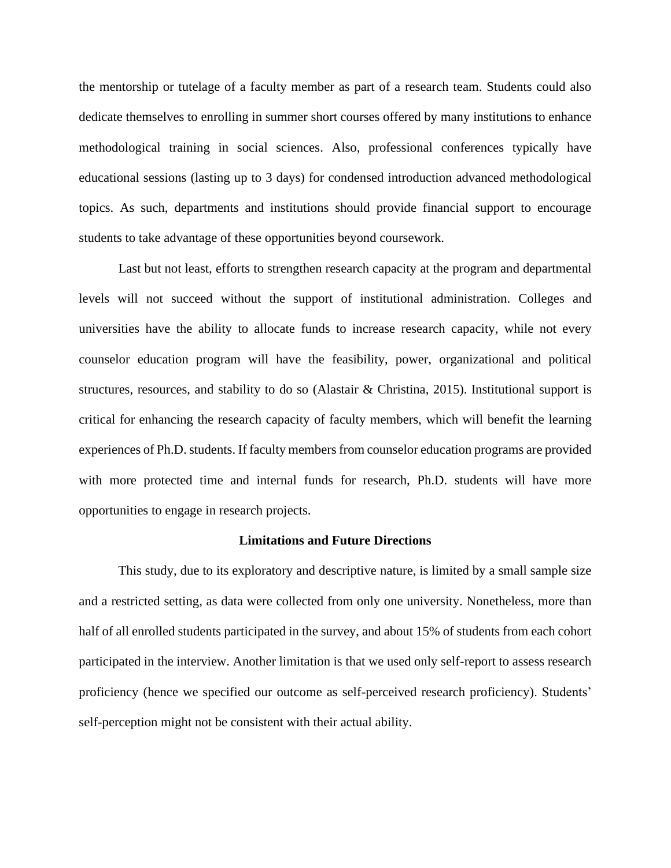the mentorship or tutelage of a faculty member as part of a research team. Students could also dedicate themselves to enrolling in summer short courses offered by many institutions to enhance methodological training in social sciences. Also, professional conferences typically have educational sessions (lasting up to 3 days) for condensed introduction advanced methodological topics. As such, departments and institutions should provide financial support to encourage students to take advantage of these opportunities beyond coursework.

Last but not least, efforts to strengthen research capacity at the program and departmental levels will not succeed without the support of institutional administration. Colleges and universities have the ability to allocate funds to increase research capacity, while not every counselor education program will have the feasibility, power, organizational and political structures, resources, and stability to do so (Alastair & Christina, 2015). Institutional support is critical for enhancing the research capacity of faculty members, which will benefit the learning experiences of Ph.D. students. If faculty members from counselor education programs are provided with more protected time and internal funds for research, Ph.D. students will have more opportunities to engage in research projects.

#### **Limitations and Future Directions**

This study, due to its exploratory and descriptive nature, is limited by a small sample size and a restricted setting, as data were collected from only one university. Nonetheless, more than half of all enrolled students participated in the survey, and about 15% of students from each cohort participated in the interview. Another limitation is that we used only self-report to assess research proficiency (hence we specified our outcome as self-perceived research proficiency). Students' self-perception might not be consistent with their actual ability.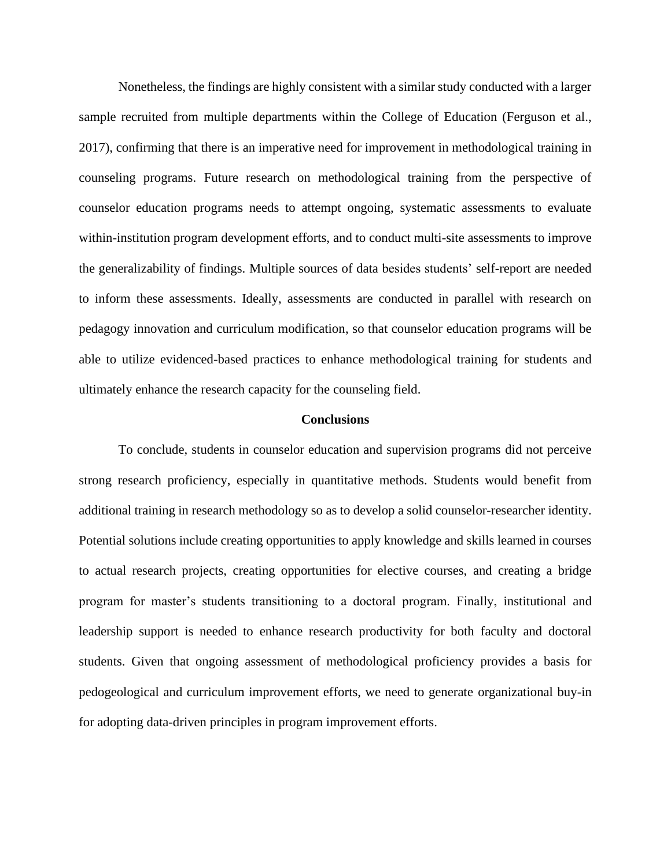Nonetheless, the findings are highly consistent with a similar study conducted with a larger sample recruited from multiple departments within the College of Education (Ferguson et al., 2017), confirming that there is an imperative need for improvement in methodological training in counseling programs. Future research on methodological training from the perspective of counselor education programs needs to attempt ongoing, systematic assessments to evaluate within-institution program development efforts, and to conduct multi-site assessments to improve the generalizability of findings. Multiple sources of data besides students' self-report are needed to inform these assessments. Ideally, assessments are conducted in parallel with research on pedagogy innovation and curriculum modification, so that counselor education programs will be able to utilize evidenced-based practices to enhance methodological training for students and ultimately enhance the research capacity for the counseling field.

#### **Conclusions**

To conclude, students in counselor education and supervision programs did not perceive strong research proficiency, especially in quantitative methods. Students would benefit from additional training in research methodology so as to develop a solid counselor-researcher identity. Potential solutions include creating opportunities to apply knowledge and skills learned in courses to actual research projects, creating opportunities for elective courses, and creating a bridge program for master's students transitioning to a doctoral program. Finally, institutional and leadership support is needed to enhance research productivity for both faculty and doctoral students. Given that ongoing assessment of methodological proficiency provides a basis for pedogeological and curriculum improvement efforts, we need to generate organizational buy-in for adopting data-driven principles in program improvement efforts.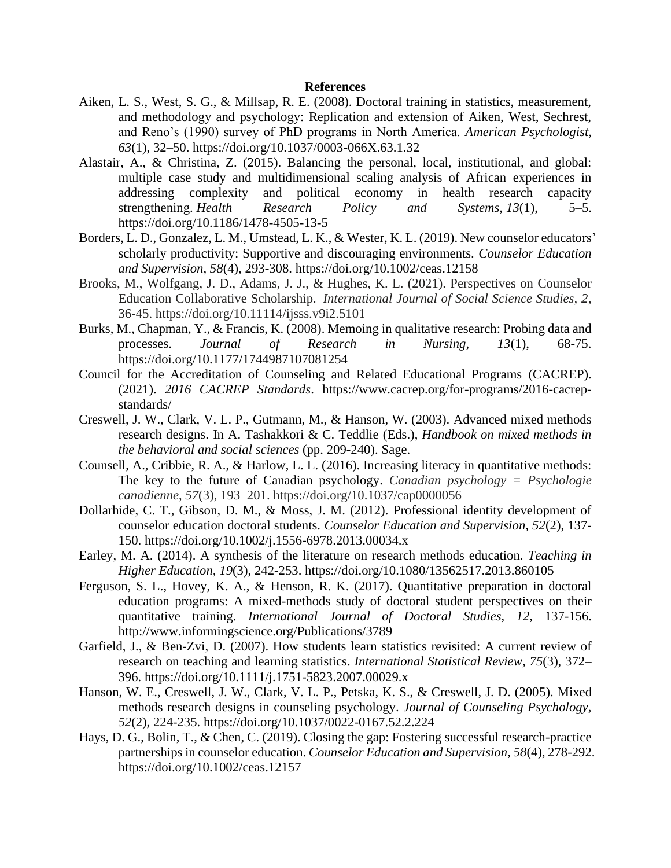#### **References**

- Aiken, L. S., West, S. G., & Millsap, R. E. (2008). Doctoral training in statistics, measurement, and methodology and psychology: Replication and extension of Aiken, West, Sechrest, and Reno's (1990) survey of PhD programs in North America. *American Psychologist, 63*(1), 32–50. https://doi.org/10.1037/0003-066X.63.1.32
- Alastair, A., & Christina, Z. (2015). Balancing the personal, local, institutional, and global: multiple case study and multidimensional scaling analysis of African experiences in addressing complexity and political economy in health research capacity strengthening. *Health Research Policy and Systems, 13*(1), 5–5. https://doi.org/10.1186/1478-4505-13-5
- Borders, L. D., Gonzalez, L. M., Umstead, L. K., & Wester, K. L. (2019). New counselor educators' scholarly productivity: Supportive and discouraging environments. *Counselor Education and Supervision, 58*(4), 293-308. https://doi.org/10.1002/ceas.12158
- Brooks, M., Wolfgang, J. D., Adams, J. J., & Hughes, K. L. (2021). Perspectives on Counselor Education Collaborative Scholarship. *International Journal of Social Science Studies, 2*, 36-45. https://doi.org/10.11114/ijsss.v9i2.5101
- Burks, M., Chapman, Y., & Francis, K. (2008). Memoing in qualitative research: Probing data and processes. *Journal of Research in Nursing, 13*(1), 68-75. https://doi.org/10.1177/1744987107081254
- Council for the Accreditation of Counseling and Related Educational Programs (CACREP). (2021). *2016 CACREP Standards*. https://www.cacrep.org/for-programs/2016-cacrepstandards/
- Creswell, J. W., Clark, V. L. P., Gutmann, M., & Hanson, W. (2003). Advanced mixed methods research designs. In A. Tashakkori & C. Teddlie (Eds.), *Handbook on mixed methods in the behavioral and social sciences* (pp. 209-240). Sage.
- Counsell, A., Cribbie, R. A., & Harlow, L. L. (2016). Increasing literacy in quantitative methods: The key to the future of Canadian psychology. *Canadian psychology = Psychologie canadienne*, *57*(3), 193–201. https://doi.org/10.1037/cap0000056
- Dollarhide, C. T., Gibson, D. M., & Moss, J. M. (2012). Professional identity development of counselor education doctoral students. *Counselor Education and Supervision, 52*(2), 137- 150. https://doi.org/10.1002/j.1556-6978.2013.00034.x
- Earley, M. A. (2014). A synthesis of the literature on research methods education. *Teaching in Higher Education, 19*(3), 242-253. https://doi.org/10.1080/13562517.2013.860105
- Ferguson, S. L., Hovey, K. A., & Henson, R. K. (2017). Quantitative preparation in doctoral education programs: A mixed-methods study of doctoral student perspectives on their quantitative training. *International Journal of Doctoral Studies, 12,* 137-156. http://www.informingscience.org/Publications/3789
- Garfield, J., & Ben-Zvi, D. (2007). How students learn statistics revisited: A current review of research on teaching and learning statistics. *International Statistical Review, 75*(3), 372– 396. https://doi.org/10.1111/j.1751-5823.2007.00029.x
- Hanson, W. E., Creswell, J. W., Clark, V. L. P., Petska, K. S., & Creswell, J. D. (2005). Mixed methods research designs in counseling psychology. *Journal of Counseling Psychology, 52*(2), 224-235. https://doi.org/10.1037/0022-0167.52.2.224
- Hays, D. G., Bolin, T., & Chen, C. (2019). Closing the gap: Fostering successful research-practice partnerships in counselor education. *Counselor Education and Supervision, 58*(4), 278-292. https://doi.org/10.1002/ceas.12157